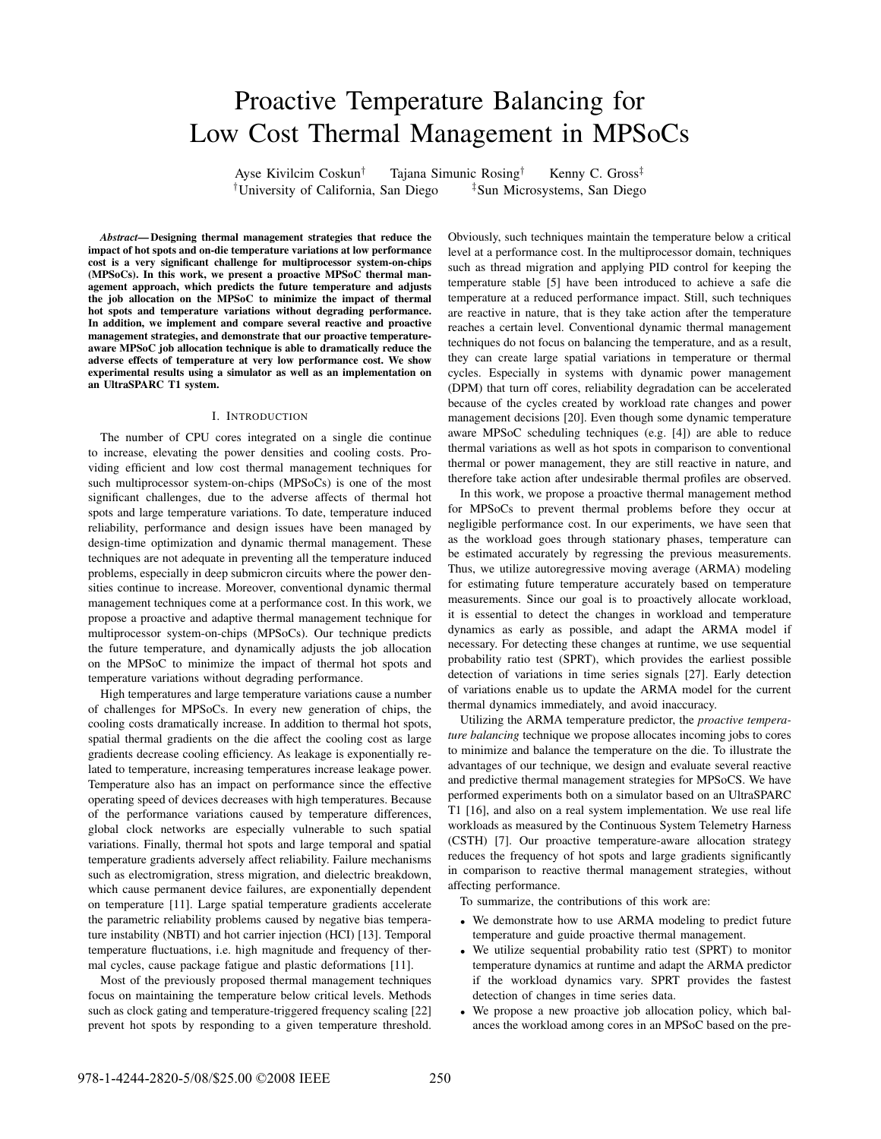# Proactive Temperature Balancing for Low Cost Thermal Management in MPSoCs

Ayse Kivilcim Coskun*†* Tajana Simunic Rosing*†* Kenny C. Gross*‡ †*University of California, San Diego *‡*Sun Microsystems, San Diego

*Abstract***— Designing thermal management strategies that reduce the impact of hot spots and on-die temperature variations at low performance cost is a very significant challenge for multiprocessor system-on-chips (MPSoCs). In this work, we present a proactive MPSoC thermal management approach, which predicts the future temperature and adjusts the job allocation on the MPSoC to minimize the impact of thermal hot spots and temperature variations without degrading performance. In addition, we implement and compare several reactive and proactive management strategies, and demonstrate that our proactive temperatureaware MPSoC job allocation technique is able to dramatically reduce the adverse effects of temperature at very low performance cost. We show experimental results using a simulator as well as an implementation on an UltraSPARC T1 system.**

# I. INTRODUCTION

The number of CPU cores integrated on a single die continue to increase, elevating the power densities and cooling costs. Providing efficient and low cost thermal management techniques for such multiprocessor system-on-chips (MPSoCs) is one of the most significant challenges, due to the adverse affects of thermal hot spots and large temperature variations. To date, temperature induced reliability, performance and design issues have been managed by design-time optimization and dynamic thermal management. These techniques are not adequate in preventing all the temperature induced problems, especially in deep submicron circuits where the power densities continue to increase. Moreover, conventional dynamic thermal management techniques come at a performance cost. In this work, we propose a proactive and adaptive thermal management technique for multiprocessor system-on-chips (MPSoCs). Our technique predicts the future temperature, and dynamically adjusts the job allocation on the MPSoC to minimize the impact of thermal hot spots and temperature variations without degrading performance.

High temperatures and large temperature variations cause a number of challenges for MPSoCs. In every new generation of chips, the cooling costs dramatically increase. In addition to thermal hot spots, spatial thermal gradients on the die affect the cooling cost as large gradients decrease cooling efficiency. As leakage is exponentially related to temperature, increasing temperatures increase leakage power. Temperature also has an impact on performance since the effective operating speed of devices decreases with high temperatures. Because of the performance variations caused by temperature differences, global clock networks are especially vulnerable to such spatial variations. Finally, thermal hot spots and large temporal and spatial temperature gradients adversely affect reliability. Failure mechanisms such as electromigration, stress migration, and dielectric breakdown, which cause permanent device failures, are exponentially dependent on temperature [11]. Large spatial temperature gradients accelerate the parametric reliability problems caused by negative bias temperature instability (NBTI) and hot carrier injection (HCI) [13]. Temporal temperature fluctuations, i.e. high magnitude and frequency of thermal cycles, cause package fatigue and plastic deformations [11].

Most of the previously proposed thermal management techniques focus on maintaining the temperature below critical levels. Methods such as clock gating and temperature-triggered frequency scaling [22] prevent hot spots by responding to a given temperature threshold.

Obviously, such techniques maintain the temperature below a critical level at a performance cost. In the multiprocessor domain, techniques such as thread migration and applying PID control for keeping the temperature stable [5] have been introduced to achieve a safe die temperature at a reduced performance impact. Still, such techniques are reactive in nature, that is they take action after the temperature reaches a certain level. Conventional dynamic thermal management techniques do not focus on balancing the temperature, and as a result, they can create large spatial variations in temperature or thermal cycles. Especially in systems with dynamic power management (DPM) that turn off cores, reliability degradation can be accelerated because of the cycles created by workload rate changes and power management decisions [20]. Even though some dynamic temperature aware MPSoC scheduling techniques (e.g. [4]) are able to reduce thermal variations as well as hot spots in comparison to conventional thermal or power management, they are still reactive in nature, and therefore take action after undesirable thermal profiles are observed.

In this work, we propose a proactive thermal management method for MPSoCs to prevent thermal problems before they occur at negligible performance cost. In our experiments, we have seen that as the workload goes through stationary phases, temperature can be estimated accurately by regressing the previous measurements. Thus, we utilize autoregressive moving average (ARMA) modeling for estimating future temperature accurately based on temperature measurements. Since our goal is to proactively allocate workload, it is essential to detect the changes in workload and temperature dynamics as early as possible, and adapt the ARMA model if necessary. For detecting these changes at runtime, we use sequential probability ratio test (SPRT), which provides the earliest possible detection of variations in time series signals [27]. Early detection of variations enable us to update the ARMA model for the current thermal dynamics immediately, and avoid inaccuracy.

Utilizing the ARMA temperature predictor, the *proactive temperature balancing* technique we propose allocates incoming jobs to cores to minimize and balance the temperature on the die. To illustrate the advantages of our technique, we design and evaluate several reactive and predictive thermal management strategies for MPSoCS. We have performed experiments both on a simulator based on an UltraSPARC T1 [16], and also on a real system implementation. We use real life workloads as measured by the Continuous System Telemetry Harness (CSTH) [7]. Our proactive temperature-aware allocation strategy reduces the frequency of hot spots and large gradients significantly in comparison to reactive thermal management strategies, without affecting performance.

To summarize, the contributions of this work are:

- We demonstrate how to use ARMA modeling to predict future temperature and guide proactive thermal management.
- *•* We utilize sequential probability ratio test (SPRT) to monitor temperature dynamics at runtime and adapt the ARMA predictor if the workload dynamics vary. SPRT provides the fastest detection of changes in time series data.
- *•* We propose a new proactive job allocation policy, which balances the workload among cores in an MPSoC based on the pre-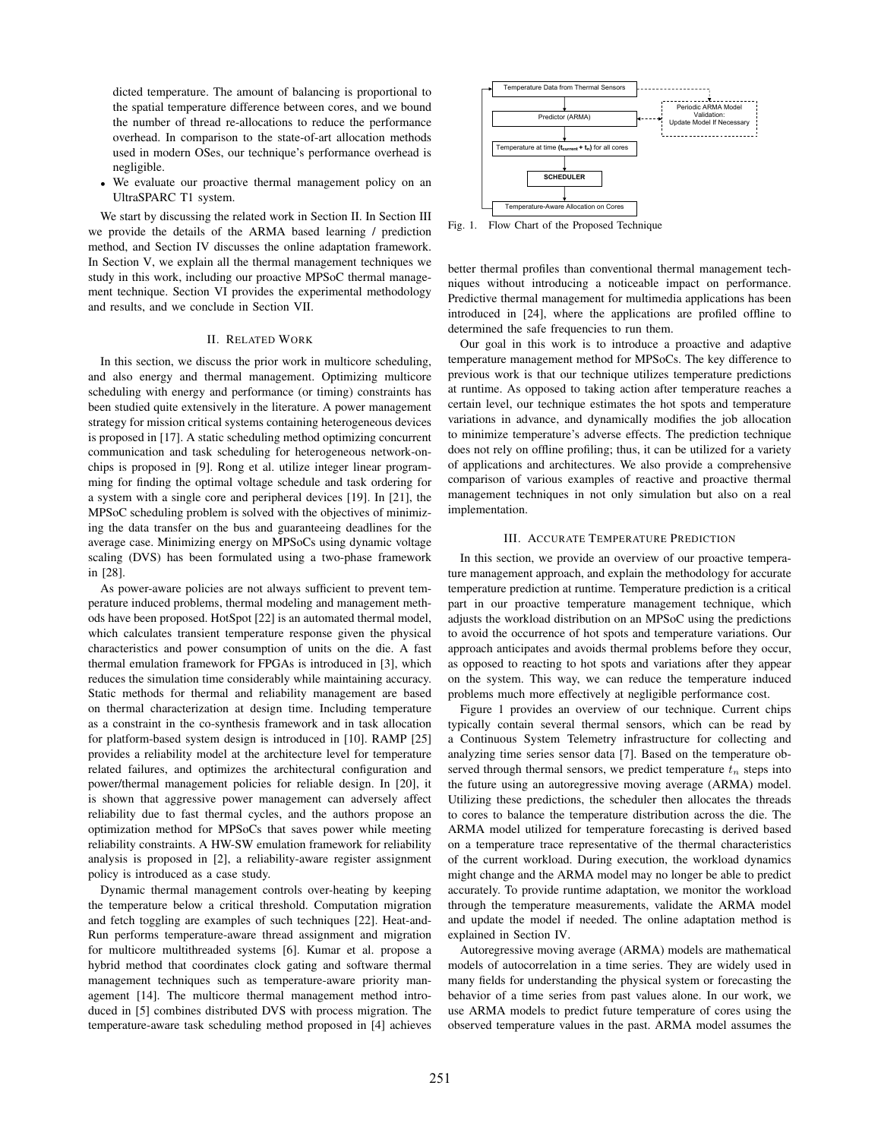dicted temperature. The amount of balancing is proportional to the spatial temperature difference between cores, and we bound the number of thread re-allocations to reduce the performance overhead. In comparison to the state-of-art allocation methods used in modern OSes, our technique's performance overhead is negligible.

We evaluate our proactive thermal management policy on an UltraSPARC T1 system.

We start by discussing the related work in Section II. In Section III we provide the details of the ARMA based learning / prediction method, and Section IV discusses the online adaptation framework. In Section V, we explain all the thermal management techniques we study in this work, including our proactive MPSoC thermal management technique. Section VI provides the experimental methodology and results, and we conclude in Section VII.

# II. RELATED WORK

In this section, we discuss the prior work in multicore scheduling, and also energy and thermal management. Optimizing multicore scheduling with energy and performance (or timing) constraints has been studied quite extensively in the literature. A power management strategy for mission critical systems containing heterogeneous devices is proposed in [17]. A static scheduling method optimizing concurrent communication and task scheduling for heterogeneous network-onchips is proposed in [9]. Rong et al. utilize integer linear programming for finding the optimal voltage schedule and task ordering for a system with a single core and peripheral devices [19]. In [21], the MPSoC scheduling problem is solved with the objectives of minimizing the data transfer on the bus and guaranteeing deadlines for the average case. Minimizing energy on MPSoCs using dynamic voltage scaling (DVS) has been formulated using a two-phase framework in [28].

As power-aware policies are not always sufficient to prevent temperature induced problems, thermal modeling and management methods have been proposed. HotSpot [22] is an automated thermal model, which calculates transient temperature response given the physical characteristics and power consumption of units on the die. A fast thermal emulation framework for FPGAs is introduced in [3], which reduces the simulation time considerably while maintaining accuracy. Static methods for thermal and reliability management are based on thermal characterization at design time. Including temperature as a constraint in the co-synthesis framework and in task allocation for platform-based system design is introduced in [10]. RAMP [25] provides a reliability model at the architecture level for temperature related failures, and optimizes the architectural configuration and power/thermal management policies for reliable design. In [20], it is shown that aggressive power management can adversely affect reliability due to fast thermal cycles, and the authors propose an optimization method for MPSoCs that saves power while meeting reliability constraints. A HW-SW emulation framework for reliability analysis is proposed in [2], a reliability-aware register assignment policy is introduced as a case study.

Dynamic thermal management controls over-heating by keeping the temperature below a critical threshold. Computation migration and fetch toggling are examples of such techniques [22]. Heat-and-Run performs temperature-aware thread assignment and migration for multicore multithreaded systems [6]. Kumar et al. propose a hybrid method that coordinates clock gating and software thermal management techniques such as temperature-aware priority management [14]. The multicore thermal management method introduced in [5] combines distributed DVS with process migration. The temperature-aware task scheduling method proposed in [4] achieves



Fig. 1. Flow Chart of the Proposed Technique

better thermal profiles than conventional thermal management techniques without introducing a noticeable impact on performance. Predictive thermal management for multimedia applications has been introduced in [24], where the applications are profiled offline to determined the safe frequencies to run them.

Our goal in this work is to introduce a proactive and adaptive temperature management method for MPSoCs. The key difference to previous work is that our technique utilizes temperature predictions at runtime. As opposed to taking action after temperature reaches a certain level, our technique estimates the hot spots and temperature variations in advance, and dynamically modifies the job allocation to minimize temperature's adverse effects. The prediction technique does not rely on offline profiling; thus, it can be utilized for a variety of applications and architectures. We also provide a comprehensive comparison of various examples of reactive and proactive thermal management techniques in not only simulation but also on a real implementation.

## III. ACCURATE TEMPERATURE PREDICTION

In this section, we provide an overview of our proactive temperature management approach, and explain the methodology for accurate temperature prediction at runtime. Temperature prediction is a critical part in our proactive temperature management technique, which adjusts the workload distribution on an MPSoC using the predictions to avoid the occurrence of hot spots and temperature variations. Our approach anticipates and avoids thermal problems before they occur, as opposed to reacting to hot spots and variations after they appear on the system. This way, we can reduce the temperature induced problems much more effectively at negligible performance cost.

Figure 1 provides an overview of our technique. Current chips typically contain several thermal sensors, which can be read by a Continuous System Telemetry infrastructure for collecting and analyzing time series sensor data [7]. Based on the temperature observed through thermal sensors, we predict temperature  $t_n$  steps into the future using an autoregressive moving average (ARMA) model. Utilizing these predictions, the scheduler then allocates the threads to cores to balance the temperature distribution across the die. The ARMA model utilized for temperature forecasting is derived based on a temperature trace representative of the thermal characteristics of the current workload. During execution, the workload dynamics might change and the ARMA model may no longer be able to predict accurately. To provide runtime adaptation, we monitor the workload through the temperature measurements, validate the ARMA model and update the model if needed. The online adaptation method is explained in Section IV.

Autoregressive moving average (ARMA) models are mathematical models of autocorrelation in a time series. They are widely used in many fields for understanding the physical system or forecasting the behavior of a time series from past values alone. In our work, we use ARMA models to predict future temperature of cores using the observed temperature values in the past. ARMA model assumes the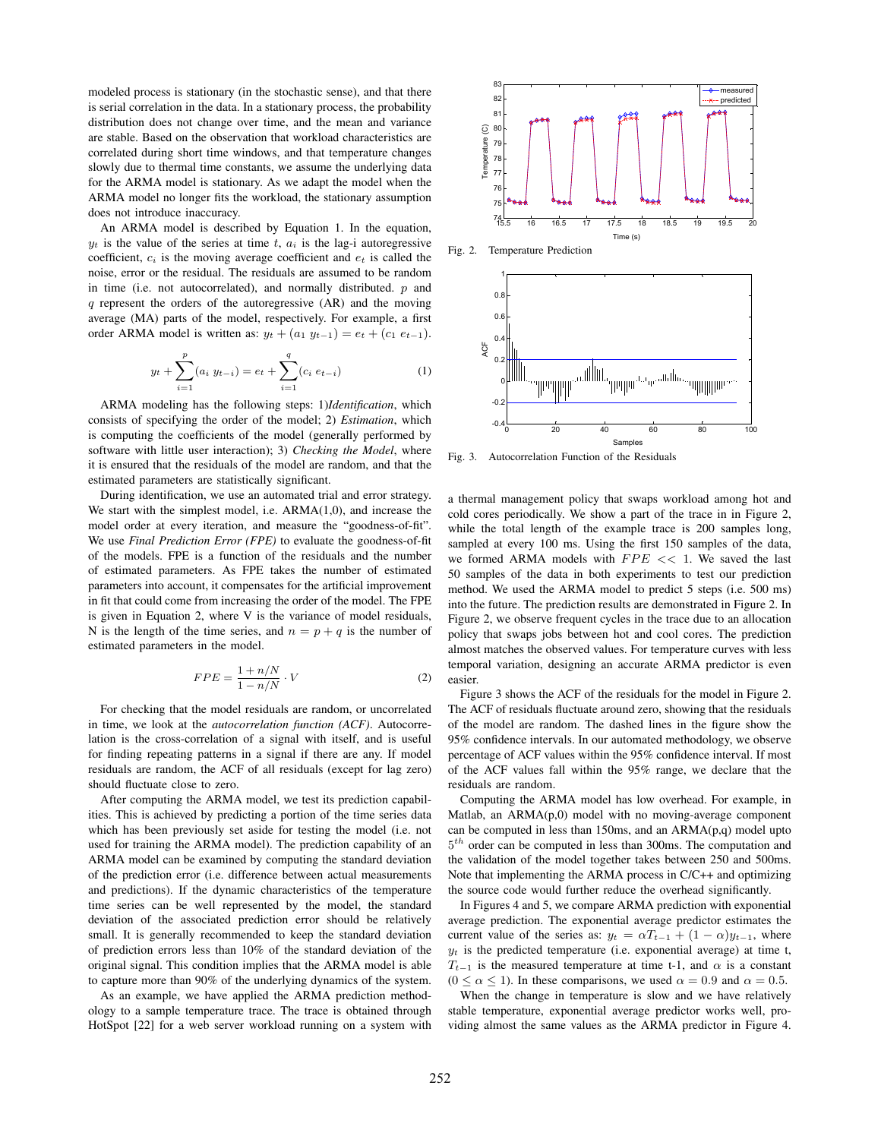modeled process is stationary (in the stochastic sense), and that there is serial correlation in the data. In a stationary process, the probability distribution does not change over time, and the mean and variance are stable. Based on the observation that workload characteristics are correlated during short time windows, and that temperature changes slowly due to thermal time constants, we assume the underlying data for the ARMA model is stationary. As we adapt the model when the ARMA model no longer fits the workload, the stationary assumption does not introduce inaccuracy.

An ARMA model is described by Equation 1. In the equation,  $y_t$  is the value of the series at time t,  $a_i$  is the lag-i autoregressive coefficient, c*<sup>i</sup>* is the moving average coefficient and e*<sup>t</sup>* is called the noise, error or the residual. The residuals are assumed to be random in time (i.e. not autocorrelated), and normally distributed.  $p$  and q represent the orders of the autoregressive (AR) and the moving average (MA) parts of the model, respectively. For example, a first order ARMA model is written as:  $y_t + (a_1 \ y_{t-1}) = e_t + (c_1 \ e_{t-1}).$ 

$$
y_t + \sum_{i=1}^p (a_i \ y_{t-i}) = e_t + \sum_{i=1}^q (c_i \ e_{t-i}) \tag{1}
$$

ARMA modeling has the following steps: 1)*Identification*, which consists of specifying the order of the model; 2) *Estimation*, which is computing the coefficients of the model (generally performed by software with little user interaction); 3) *Checking the Model*, where it is ensured that the residuals of the model are random, and that the estimated parameters are statistically significant.

During identification, we use an automated trial and error strategy. We start with the simplest model, i.e. ARMA(1,0), and increase the model order at every iteration, and measure the "goodness-of-fit". We use *Final Prediction Error (FPE)* to evaluate the goodness-of-fit of the models. FPE is a function of the residuals and the number of estimated parameters. As FPE takes the number of estimated parameters into account, it compensates for the artificial improvement in fit that could come from increasing the order of the model. The FPE is given in Equation 2, where V is the variance of model residuals, N is the length of the time series, and  $n = p + q$  is the number of estimated parameters in the model.

$$
FPE = \frac{1 + n/N}{1 - n/N} \cdot V \tag{2}
$$

For checking that the model residuals are random, or uncorrelated in time, we look at the *autocorrelation function (ACF)*. Autocorrelation is the cross-correlation of a signal with itself, and is useful for finding repeating patterns in a signal if there are any. If model residuals are random, the ACF of all residuals (except for lag zero) should fluctuate close to zero.

After computing the ARMA model, we test its prediction capabilities. This is achieved by predicting a portion of the time series data which has been previously set aside for testing the model (i.e. not used for training the ARMA model). The prediction capability of an ARMA model can be examined by computing the standard deviation of the prediction error (i.e. difference between actual measurements and predictions). If the dynamic characteristics of the temperature time series can be well represented by the model, the standard deviation of the associated prediction error should be relatively small. It is generally recommended to keep the standard deviation of prediction errors less than 10% of the standard deviation of the original signal. This condition implies that the ARMA model is able to capture more than 90% of the underlying dynamics of the system.

As an example, we have applied the ARMA prediction methodology to a sample temperature trace. The trace is obtained through HotSpot [22] for a web server workload running on a system with



Fig. 2. Temperature Prediction



Fig. 3. Autocorrelation Function of the Residuals

a thermal management policy that swaps workload among hot and cold cores periodically. We show a part of the trace in in Figure 2, while the total length of the example trace is 200 samples long, sampled at every 100 ms. Using the first 150 samples of the data, we formed ARMA models with  $FPE \ll 1$ . We saved the last 50 samples of the data in both experiments to test our prediction method. We used the ARMA model to predict 5 steps (i.e. 500 ms) into the future. The prediction results are demonstrated in Figure 2. In Figure 2, we observe frequent cycles in the trace due to an allocation policy that swaps jobs between hot and cool cores. The prediction almost matches the observed values. For temperature curves with less temporal variation, designing an accurate ARMA predictor is even easier.

Figure 3 shows the ACF of the residuals for the model in Figure 2. The ACF of residuals fluctuate around zero, showing that the residuals of the model are random. The dashed lines in the figure show the 95% confidence intervals. In our automated methodology, we observe percentage of ACF values within the 95% confidence interval. If most of the ACF values fall within the 95% range, we declare that the residuals are random.

Computing the ARMA model has low overhead. For example, in Matlab, an ARMA(p,0) model with no moving-average component can be computed in less than 150ms, and an ARMA(p,q) model upto 5*th* order can be computed in less than 300ms. The computation and the validation of the model together takes between 250 and 500ms. Note that implementing the ARMA process in C/C++ and optimizing the source code would further reduce the overhead significantly.

In Figures 4 and 5, we compare ARMA prediction with exponential average prediction. The exponential average predictor estimates the current value of the series as:  $y_t = \alpha T_{t-1} + (1 - \alpha)y_{t-1}$ , where  $y_t$  is the predicted temperature (i.e. exponential average) at time t,  $T_{t-1}$  is the measured temperature at time t-1, and  $\alpha$  is a constant  $(0 \le \alpha \le 1)$ . In these comparisons, we used  $\alpha = 0.9$  and  $\alpha = 0.5$ .

When the change in temperature is slow and we have relatively stable temperature, exponential average predictor works well, providing almost the same values as the ARMA predictor in Figure 4.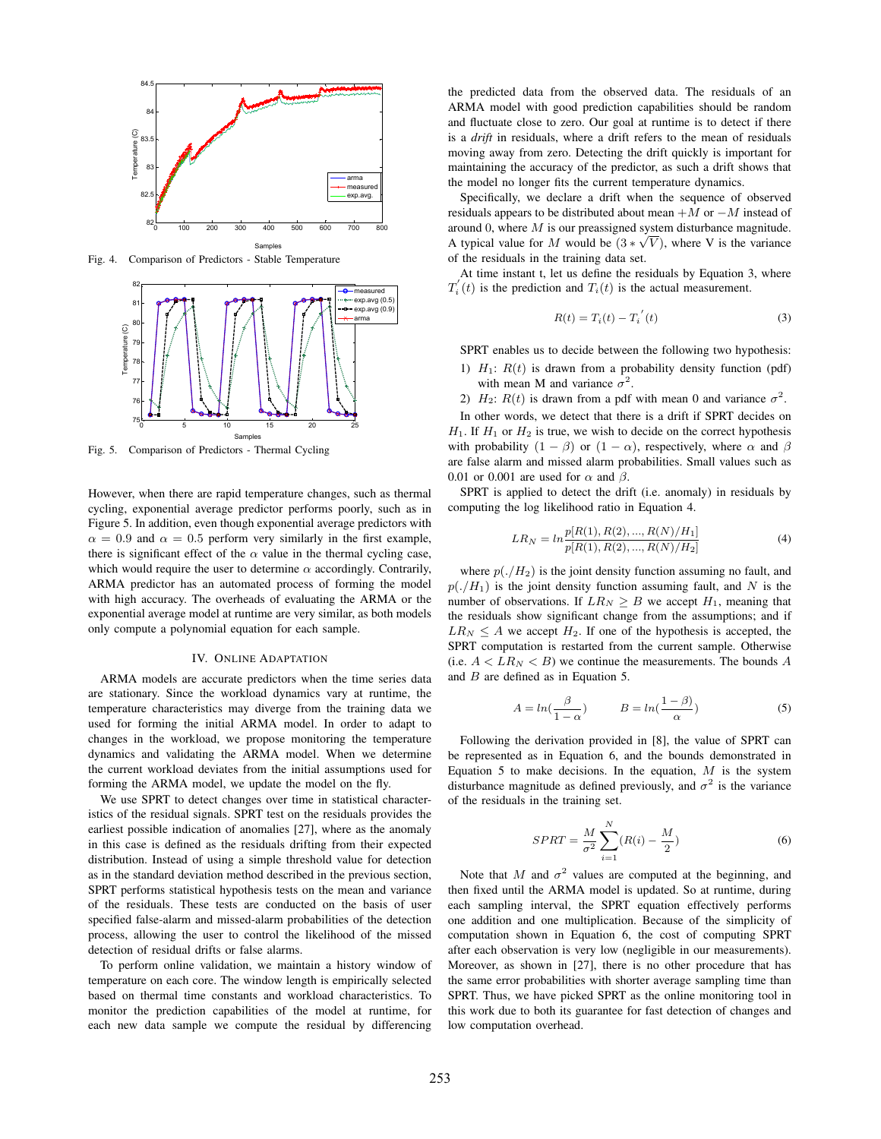

Fig. 4. Comparison of Predictors - Stable Temperature



Fig. 5. Comparison of Predictors - Thermal Cycling

However, when there are rapid temperature changes, such as thermal cycling, exponential average predictor performs poorly, such as in Figure 5. In addition, even though exponential average predictors with  $\alpha = 0.9$  and  $\alpha = 0.5$  perform very similarly in the first example, there is significant effect of the  $\alpha$  value in the thermal cycling case, which would require the user to determine  $\alpha$  accordingly. Contrarily, ARMA predictor has an automated process of forming the model with high accuracy. The overheads of evaluating the ARMA or the exponential average model at runtime are very similar, as both models only compute a polynomial equation for each sample.

# IV. ONLINE ADAPTATION

ARMA models are accurate predictors when the time series data are stationary. Since the workload dynamics vary at runtime, the temperature characteristics may diverge from the training data we used for forming the initial ARMA model. In order to adapt to changes in the workload, we propose monitoring the temperature dynamics and validating the ARMA model. When we determine the current workload deviates from the initial assumptions used for forming the ARMA model, we update the model on the fly.

We use SPRT to detect changes over time in statistical characteristics of the residual signals. SPRT test on the residuals provides the earliest possible indication of anomalies [27], where as the anomaly in this case is defined as the residuals drifting from their expected distribution. Instead of using a simple threshold value for detection as in the standard deviation method described in the previous section, SPRT performs statistical hypothesis tests on the mean and variance of the residuals. These tests are conducted on the basis of user specified false-alarm and missed-alarm probabilities of the detection process, allowing the user to control the likelihood of the missed detection of residual drifts or false alarms.

To perform online validation, we maintain a history window of temperature on each core. The window length is empirically selected based on thermal time constants and workload characteristics. To monitor the prediction capabilities of the model at runtime, for each new data sample we compute the residual by differencing

the predicted data from the observed data. The residuals of an ARMA model with good prediction capabilities should be random and fluctuate close to zero. Our goal at runtime is to detect if there is a *drift* in residuals, where a drift refers to the mean of residuals moving away from zero. Detecting the drift quickly is important for maintaining the accuracy of the predictor, as such a drift shows that the model no longer fits the current temperature dynamics.

Specifically, we declare a drift when the sequence of observed residuals appears to be distributed about mean  $+M$  or  $-M$  instead of around 0, where  $M$  is our preassigned system disturbance magnitude. A typical value for M would be  $(3 * \sqrt{V})$ , where V is the variance of the residuals in the training data set.

At time instant t, let us define the residuals by Equation 3, where  $T_i^{'}(t)$  is the prediction and  $T_i(t)$  is the actual measurement.

$$
R(t) = T_i(t) - T_i^{'}(t)
$$
 (3)

SPRT enables us to decide between the following two hypothesis:

- 1)  $H_1$ :  $R(t)$  is drawn from a probability density function (pdf) with mean M and variance  $\sigma^2$ .
- 2)  $H_2$ :  $R(t)$  is drawn from a pdf with mean 0 and variance  $\sigma^2$ .

In other words, we detect that there is a drift if SPRT decides on  $H_1$ . If  $H_1$  or  $H_2$  is true, we wish to decide on the correct hypothesis with probability  $(1 - \beta)$  or  $(1 - \alpha)$ , respectively, where  $\alpha$  and  $\beta$ are false alarm and missed alarm probabilities. Small values such as 0.01 or 0.001 are used for  $\alpha$  and  $\beta$ .

SPRT is applied to detect the drift (i.e. anomaly) in residuals by computing the log likelihood ratio in Equation 4.

$$
LR_N = \ln \frac{p[R(1), R(2), ..., R(N)/H_1]}{p[R(1), R(2), ..., R(N)/H_2]}
$$
(4)

where  $p(./H_2)$  is the joint density function assuming no fault, and  $p(./H_1)$  is the joint density function assuming fault, and N is the number of observations. If  $LR_N \geq B$  we accept  $H_1$ , meaning that the residuals show significant change from the assumptions; and if  $LR_N \leq A$  we accept  $H_2$ . If one of the hypothesis is accepted, the SPRT computation is restarted from the current sample. Otherwise (i.e.  $A < LR<sub>N</sub> < B$ ) we continue the measurements. The bounds A and B are defined as in Equation 5.

$$
A = \ln\left(\frac{\beta}{1 - \alpha}\right) \qquad \qquad B = \ln\left(\frac{1 - \beta}{\alpha}\right) \tag{5}
$$

Following the derivation provided in [8], the value of SPRT can be represented as in Equation 6, and the bounds demonstrated in Equation 5 to make decisions. In the equation,  $M$  is the system disturbance magnitude as defined previously, and  $\sigma^2$  is the variance of the residuals in the training set.

$$
SPRT = \frac{M}{\sigma^2} \sum_{i=1}^{N} (R(i) - \frac{M}{2})
$$
\n<sup>(6)</sup>

Note that M and  $\sigma^2$  values are computed at the beginning, and then fixed until the ARMA model is updated. So at runtime, during each sampling interval, the SPRT equation effectively performs one addition and one multiplication. Because of the simplicity of computation shown in Equation 6, the cost of computing SPRT after each observation is very low (negligible in our measurements). Moreover, as shown in [27], there is no other procedure that has the same error probabilities with shorter average sampling time than SPRT. Thus, we have picked SPRT as the online monitoring tool in this work due to both its guarantee for fast detection of changes and low computation overhead.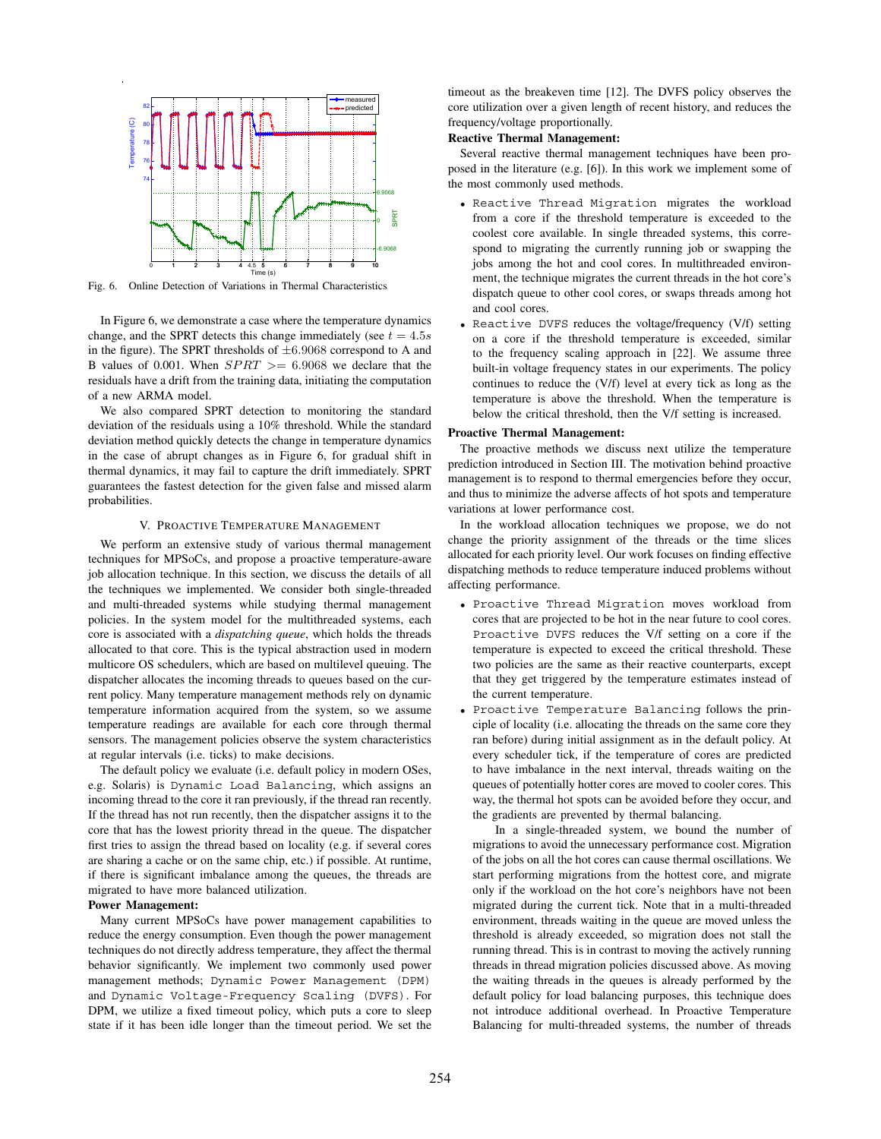

Fig. 6. Online Detection of Variations in Thermal Characteristics

In Figure 6, we demonstrate a case where the temperature dynamics change, and the SPRT detects this change immediately (see  $t = 4.5s$ ) in the figure). The SPRT thresholds of  $\pm 6.9068$  correspond to A and B values of 0.001. When  $SPRT$  >= 6.9068 we declare that the residuals have a drift from the training data, initiating the computation of a new ARMA model.

We also compared SPRT detection to monitoring the standard deviation of the residuals using a 10% threshold. While the standard deviation method quickly detects the change in temperature dynamics in the case of abrupt changes as in Figure 6, for gradual shift in thermal dynamics, it may fail to capture the drift immediately. SPRT guarantees the fastest detection for the given false and missed alarm probabilities.

#### V. PROACTIVE TEMPERATURE MANAGEMENT

We perform an extensive study of various thermal management techniques for MPSoCs, and propose a proactive temperature-aware job allocation technique. In this section, we discuss the details of all the techniques we implemented. We consider both single-threaded and multi-threaded systems while studying thermal management policies. In the system model for the multithreaded systems, each core is associated with a *dispatching queue*, which holds the threads allocated to that core. This is the typical abstraction used in modern multicore OS schedulers, which are based on multilevel queuing. The dispatcher allocates the incoming threads to queues based on the current policy. Many temperature management methods rely on dynamic temperature information acquired from the system, so we assume temperature readings are available for each core through thermal sensors. The management policies observe the system characteristics at regular intervals (i.e. ticks) to make decisions.

The default policy we evaluate (i.e. default policy in modern OSes, e.g. Solaris) is Dynamic Load Balancing, which assigns an incoming thread to the core it ran previously, if the thread ran recently. If the thread has not run recently, then the dispatcher assigns it to the core that has the lowest priority thread in the queue. The dispatcher first tries to assign the thread based on locality (e.g. if several cores are sharing a cache or on the same chip, etc.) if possible. At runtime, if there is significant imbalance among the queues, the threads are migrated to have more balanced utilization.

## **Power Management:**

Many current MPSoCs have power management capabilities to reduce the energy consumption. Even though the power management techniques do not directly address temperature, they affect the thermal behavior significantly. We implement two commonly used power management methods; Dynamic Power Management (DPM) and Dynamic Voltage-Frequency Scaling (DVFS). For DPM, we utilize a fixed timeout policy, which puts a core to sleep state if it has been idle longer than the timeout period. We set the

timeout as the breakeven time [12]. The DVFS policy observes the core utilization over a given length of recent history, and reduces the frequency/voltage proportionally.

# **Reactive Thermal Management:**

Several reactive thermal management techniques have been proposed in the literature (e.g. [6]). In this work we implement some of the most commonly used methods.

- *•* Reactive Thread Migration migrates the workload from a core if the threshold temperature is exceeded to the coolest core available. In single threaded systems, this correspond to migrating the currently running job or swapping the jobs among the hot and cool cores. In multithreaded environment, the technique migrates the current threads in the hot core's dispatch queue to other cool cores, or swaps threads among hot and cool cores.
- *•* Reactive DVFS reduces the voltage/frequency (V/f) setting on a core if the threshold temperature is exceeded, similar to the frequency scaling approach in [22]. We assume three built-in voltage frequency states in our experiments. The policy continues to reduce the (V/f) level at every tick as long as the temperature is above the threshold. When the temperature is below the critical threshold, then the V/f setting is increased.

# **Proactive Thermal Management:**

The proactive methods we discuss next utilize the temperature prediction introduced in Section III. The motivation behind proactive management is to respond to thermal emergencies before they occur, and thus to minimize the adverse affects of hot spots and temperature variations at lower performance cost.

In the workload allocation techniques we propose, we do not change the priority assignment of the threads or the time slices allocated for each priority level. Our work focuses on finding effective dispatching methods to reduce temperature induced problems without affecting performance.

- *•* Proactive Thread Migration moves workload from cores that are projected to be hot in the near future to cool cores. Proactive DVFS reduces the V/f setting on a core if the temperature is expected to exceed the critical threshold. These two policies are the same as their reactive counterparts, except that they get triggered by the temperature estimates instead of the current temperature.
- *•* Proactive Temperature Balancing follows the principle of locality (i.e. allocating the threads on the same core they ran before) during initial assignment as in the default policy. At every scheduler tick, if the temperature of cores are predicted to have imbalance in the next interval, threads waiting on the queues of potentially hotter cores are moved to cooler cores. This way, the thermal hot spots can be avoided before they occur, and the gradients are prevented by thermal balancing.

In a single-threaded system, we bound the number of migrations to avoid the unnecessary performance cost. Migration of the jobs on all the hot cores can cause thermal oscillations. We start performing migrations from the hottest core, and migrate only if the workload on the hot core's neighbors have not been migrated during the current tick. Note that in a multi-threaded environment, threads waiting in the queue are moved unless the threshold is already exceeded, so migration does not stall the running thread. This is in contrast to moving the actively running threads in thread migration policies discussed above. As moving the waiting threads in the queues is already performed by the default policy for load balancing purposes, this technique does not introduce additional overhead. In Proactive Temperature Balancing for multi-threaded systems, the number of threads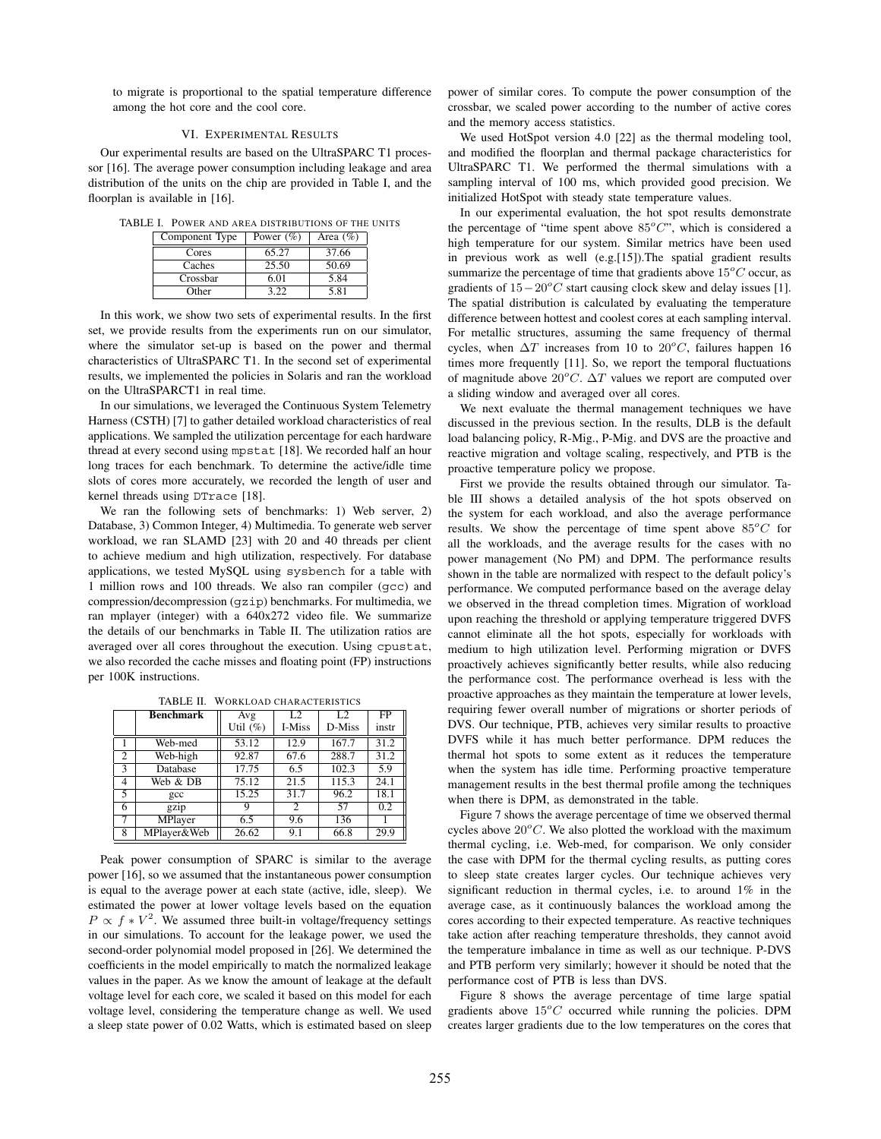to migrate is proportional to the spatial temperature difference among the hot core and the cool core.

# VI. EXPERIMENTAL RESULTS

Our experimental results are based on the UltraSPARC T1 processor [16]. The average power consumption including leakage and area distribution of the units on the chip are provided in Table I, and the floorplan is available in [16].

TABLE I. POWER AND AREA DISTRIBUTIONS OF THE UNITS

| Component Type | Power $(\% )$ | Area $(\%)$ |  |
|----------------|---------------|-------------|--|
| Cores          | 65.27         | 37.66       |  |
| Caches         | 25.50         | 50.69       |  |
| Crossbar       | 6.01          | 5.84        |  |
| Other          |               | 5.81        |  |

In this work, we show two sets of experimental results. In the first set, we provide results from the experiments run on our simulator, where the simulator set-up is based on the power and thermal characteristics of UltraSPARC T1. In the second set of experimental results, we implemented the policies in Solaris and ran the workload on the UltraSPARCT1 in real time.

In our simulations, we leveraged the Continuous System Telemetry Harness (CSTH) [7] to gather detailed workload characteristics of real applications. We sampled the utilization percentage for each hardware thread at every second using mpstat [18]. We recorded half an hour long traces for each benchmark. To determine the active/idle time slots of cores more accurately, we recorded the length of user and kernel threads using DTrace [18].

We ran the following sets of benchmarks: 1) Web server, 2) Database, 3) Common Integer, 4) Multimedia. To generate web server workload, we ran SLAMD [23] with 20 and 40 threads per client to achieve medium and high utilization, respectively. For database applications, we tested MySQL using sysbench for a table with 1 million rows and 100 threads. We also ran compiler (gcc) and compression/decompression (gzip) benchmarks. For multimedia, we ran mplayer (integer) with a 640x272 video file. We summarize the details of our benchmarks in Table II. The utilization ratios are averaged over all cores throughout the execution. Using cpustat, we also recorded the cache misses and floating point (FP) instructions per 100K instructions.

|   | <b>Benchmark</b> | Avg         | L <sub>2</sub> | L <sub>2</sub> | FP    |
|---|------------------|-------------|----------------|----------------|-------|
|   |                  | Util $(\%)$ | I-Miss         | D-Miss         | instr |
|   | Web-med          | 53.12       | 12.9           | 167.7          | 31.2  |
| 2 | Web-high         | 92.87       | 67.6           | 288.7          | 31.2  |
| 3 | Database         | 17.75       | 6.5            | 102.3          | 5.9   |
| 4 | Web & DB         | 75.12       | 21.5           | 115.3          | 24.1  |
| 5 | gcc              | 15.25       | 31.7           | 96.2           | 18.1  |
| 6 | gzip             | Q           | 2              | 57             | 0.2   |
| 7 | MPlayer          | 6.5         | 9.6            | 136            |       |
| 8 | MPlayer&Web      | 26.62       | 9.1            | 66.8           | 29.9  |

TABLE II. WORKLOAD CHARACTERISTICS

Peak power consumption of SPARC is similar to the average power [16], so we assumed that the instantaneous power consumption is equal to the average power at each state (active, idle, sleep). We estimated the power at lower voltage levels based on the equation  $P \propto f * V^2$ . We assumed three built-in voltage/frequency settings in our simulations. To account for the leakage power, we used the second-order polynomial model proposed in [26]. We determined the coefficients in the model empirically to match the normalized leakage values in the paper. As we know the amount of leakage at the default voltage level for each core, we scaled it based on this model for each voltage level, considering the temperature change as well. We used a sleep state power of 0.02 Watts, which is estimated based on sleep

power of similar cores. To compute the power consumption of the crossbar, we scaled power according to the number of active cores and the memory access statistics.

We used HotSpot version 4.0 [22] as the thermal modeling tool, and modified the floorplan and thermal package characteristics for UltraSPARC T1. We performed the thermal simulations with a sampling interval of 100 ms, which provided good precision. We initialized HotSpot with steady state temperature values.

In our experimental evaluation, the hot spot results demonstrate the percentage of "time spent above 85°C", which is considered a high temperature for our system. Similar metrics have been used in previous work as well (e.g.[15]).The spatial gradient results summarize the percentage of time that gradients above  $15^{\circ}$ C occur, as gradients of 15−20<sup>o</sup>C start causing clock skew and delay issues [1]. The spatial distribution is calculated by evaluating the temperature difference between hottest and coolest cores at each sampling interval. For metallic structures, assuming the same frequency of thermal cycles, when  $\Delta T$  increases from 10 to 20<sup>o</sup>C, failures happen 16 times more frequently [11]. So, we report the temporal fluctuations of magnitude above  $20^{\circ}$ C.  $\Delta T$  values we report are computed over a sliding window and averaged over all cores.

We next evaluate the thermal management techniques we have discussed in the previous section. In the results, DLB is the default load balancing policy, R-Mig., P-Mig. and DVS are the proactive and reactive migration and voltage scaling, respectively, and PTB is the proactive temperature policy we propose.

First we provide the results obtained through our simulator. Table III shows a detailed analysis of the hot spots observed on the system for each workload, and also the average performance results. We show the percentage of time spent above 85*<sup>o</sup>*C for all the workloads, and the average results for the cases with no power management (No PM) and DPM. The performance results shown in the table are normalized with respect to the default policy's performance. We computed performance based on the average delay we observed in the thread completion times. Migration of workload upon reaching the threshold or applying temperature triggered DVFS cannot eliminate all the hot spots, especially for workloads with medium to high utilization level. Performing migration or DVFS proactively achieves significantly better results, while also reducing the performance cost. The performance overhead is less with the proactive approaches as they maintain the temperature at lower levels, requiring fewer overall number of migrations or shorter periods of DVS. Our technique, PTB, achieves very similar results to proactive DVFS while it has much better performance. DPM reduces the thermal hot spots to some extent as it reduces the temperature when the system has idle time. Performing proactive temperature management results in the best thermal profile among the techniques when there is DPM, as demonstrated in the table.

Figure 7 shows the average percentage of time we observed thermal cycles above 20°C. We also plotted the workload with the maximum thermal cycling, i.e. Web-med, for comparison. We only consider the case with DPM for the thermal cycling results, as putting cores to sleep state creates larger cycles. Our technique achieves very significant reduction in thermal cycles, i.e. to around 1% in the average case, as it continuously balances the workload among the cores according to their expected temperature. As reactive techniques take action after reaching temperature thresholds, they cannot avoid the temperature imbalance in time as well as our technique. P-DVS and PTB perform very similarly; however it should be noted that the performance cost of PTB is less than DVS.

Figure 8 shows the average percentage of time large spatial gradients above  $15^{\circ}$ C occurred while running the policies. DPM creates larger gradients due to the low temperatures on the cores that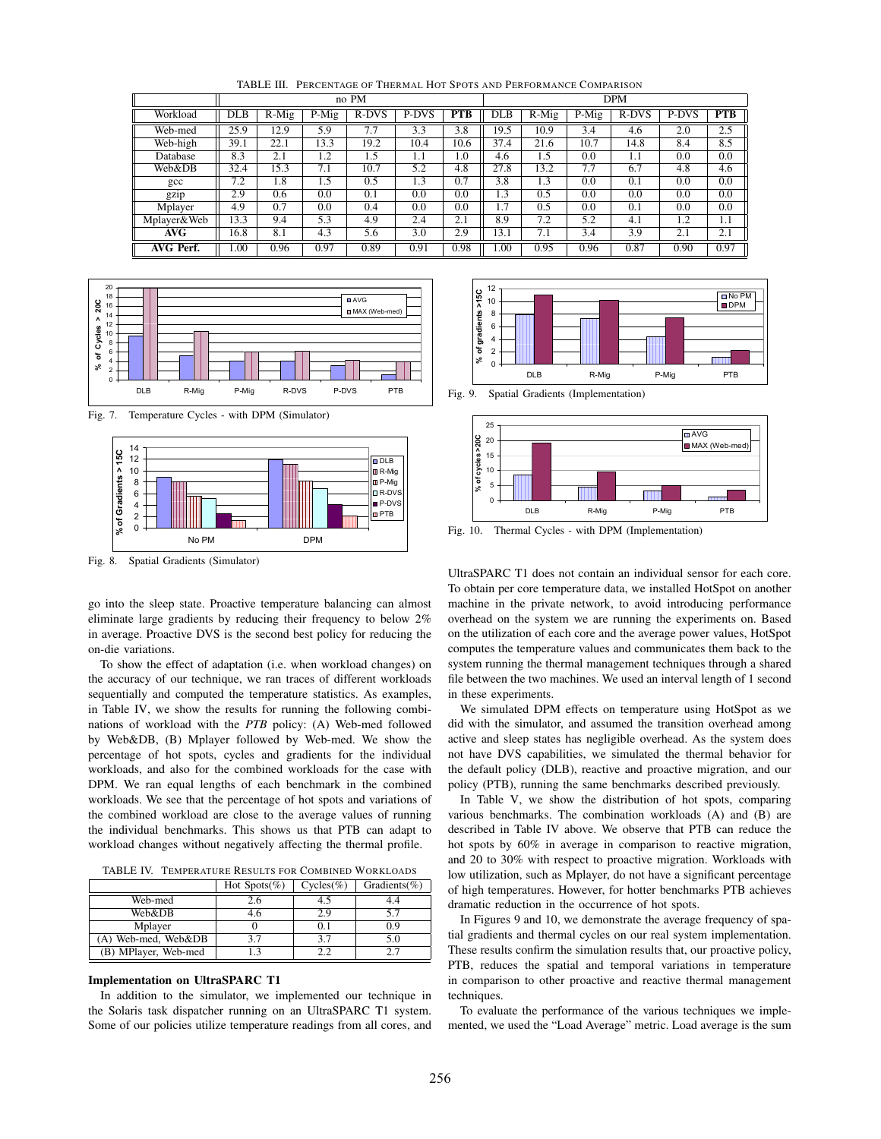TABLE III. PERCENTAGE OF THERMAL HOT SPOTS AND PERFORMANCE COMPARISON

|                  | no PM                |          |       |       |       | <b>DPM</b> |            |          |       |       |       |      |
|------------------|----------------------|----------|-------|-------|-------|------------|------------|----------|-------|-------|-------|------|
| Workload         | $\overline{\rm DLB}$ | $R$ -Mig | P-Mig | R-DVS | P-DVS | <b>PTB</b> | <b>DLB</b> | $R$ -Mig | P-Mig | R-DVS | P-DVS | PTB  |
| Web-med          | $\overline{25.9}$    | 12.9     | 5.9   | 7.7   | 3.3   | 3.8        | 19.5       | 10.9     | 3.4   | 4.6   | 2.0   | 2.5  |
| Web-high         | 39.1                 | 22.1     | 13.3  | 19.2  | 10.4  | 10.6       | 37.4       | 21.6     | 10.7  | 14.8  | 8.4   | 8.5  |
| Database         | 8.3                  | 2.1      | 1.2   | 1.5   | 1.1   | 1.0        | 4.6        | 1.5      | 0.0   | 1.1   | 0.0   | 0.0  |
| Web&DB           | 32.4                 | 15.3     | 7.1   | 10.7  | 5.2   | 4.8        | 27.8       | 13.2     | 7.7   | 6.7   | 4.8   | 4.6  |
| $_{\rm gcc}$     | 7.2                  | 1.8      | 1.5   | 0.5   | 1.3   | 0.7        | 3.8        | 1.3      | 0.0   | 0.1   | 0.0   | 0.0  |
| gzip             | 2.9                  | 0.6      | 0.0   | 0.1   | 0.0   | 0.0        | 1.3        | 0.5      | 0.0   | 0.0   | 0.0   | 0.0  |
| Mplayer          | 4.9                  | 0.7      | 0.0   | 0.4   | 0.0   | 0.0        | 1.7        | 0.5      | 0.0   | 0.1   | 0.0   | 0.0  |
| Mplayer&Web      | 13.3                 | 9.4      | 5.3   | 4.9   | 2.4   | 2.1        | 8.9        | 7.2      | 5.2   | 4.1   | 1.2   | 1.1  |
| AVG              | 16.8                 | 8.1      | 4.3   | 5.6   | 3.0   | 2.9        | 13.1       | 7.1      | 3.4   | 3.9   | 2.1   | 2.1  |
| <b>AVG Perf.</b> | 1.00                 | 0.96     | 0.97  | 0.89  | 0.91  | 0.98       | 1.00       | 0.95     | 0.96  | 0.87  | 0.90  | 0.97 |



Fig. 7. Temperature Cycles - with DPM (Simulator)



Fig. 8. Spatial Gradients (Simulator)

go into the sleep state. Proactive temperature balancing can almost eliminate large gradients by reducing their frequency to below 2% in average. Proactive DVS is the second best policy for reducing the on-die variations.

To show the effect of adaptation (i.e. when workload changes) on the accuracy of our technique, we ran traces of different workloads sequentially and computed the temperature statistics. As examples, in Table IV, we show the results for running the following combinations of workload with the *PTB* policy: (A) Web-med followed by Web&DB, (B) Mplayer followed by Web-med. We show the percentage of hot spots, cycles and gradients for the individual workloads, and also for the combined workloads for the case with DPM. We ran equal lengths of each benchmark in the combined workloads. We see that the percentage of hot spots and variations of the combined workload are close to the average values of running the individual benchmarks. This shows us that PTB can adapt to workload changes without negatively affecting the thermal profile.

TABLE IV. TEMPERATURE RESULTS FOR COMBINED WORKLOADS

|                      | Hot Spots(%) | $Cycles(\%)$ | Gradients( $\%$ ) |
|----------------------|--------------|--------------|-------------------|
| Web-med              | 2.6          | 4.5          | 4.4               |
| Web&DB               | 4.6          | 2.9          | 5.7               |
| Mplayer              |              |              | 0.9               |
| A) Web-med, Web&DB   | 37           | 37           | 5.0               |
| (B) MPlayer, Web-med |              | つつ           |                   |

# **Implementation on UltraSPARC T1**

In addition to the simulator, we implemented our technique in the Solaris task dispatcher running on an UltraSPARC T1 system. Some of our policies utilize temperature readings from all cores, and



Fig. 9. Spatial Gradients (Implementation)



Fig. 10. Thermal Cycles - with DPM (Implementation)

UltraSPARC T1 does not contain an individual sensor for each core. To obtain per core temperature data, we installed HotSpot on another machine in the private network, to avoid introducing performance overhead on the system we are running the experiments on. Based on the utilization of each core and the average power values, HotSpot computes the temperature values and communicates them back to the system running the thermal management techniques through a shared file between the two machines. We used an interval length of 1 second in these experiments.

We simulated DPM effects on temperature using HotSpot as we did with the simulator, and assumed the transition overhead among active and sleep states has negligible overhead. As the system does not have DVS capabilities, we simulated the thermal behavior for the default policy (DLB), reactive and proactive migration, and our policy (PTB), running the same benchmarks described previously.

In Table V, we show the distribution of hot spots, comparing various benchmarks. The combination workloads (A) and (B) are described in Table IV above. We observe that PTB can reduce the hot spots by 60% in average in comparison to reactive migration, and 20 to 30% with respect to proactive migration. Workloads with low utilization, such as Mplayer, do not have a significant percentage of high temperatures. However, for hotter benchmarks PTB achieves dramatic reduction in the occurrence of hot spots.

In Figures 9 and 10, we demonstrate the average frequency of spatial gradients and thermal cycles on our real system implementation. These results confirm the simulation results that, our proactive policy, PTB, reduces the spatial and temporal variations in temperature in comparison to other proactive and reactive thermal management techniques.

To evaluate the performance of the various techniques we implemented, we used the "Load Average" metric. Load average is the sum